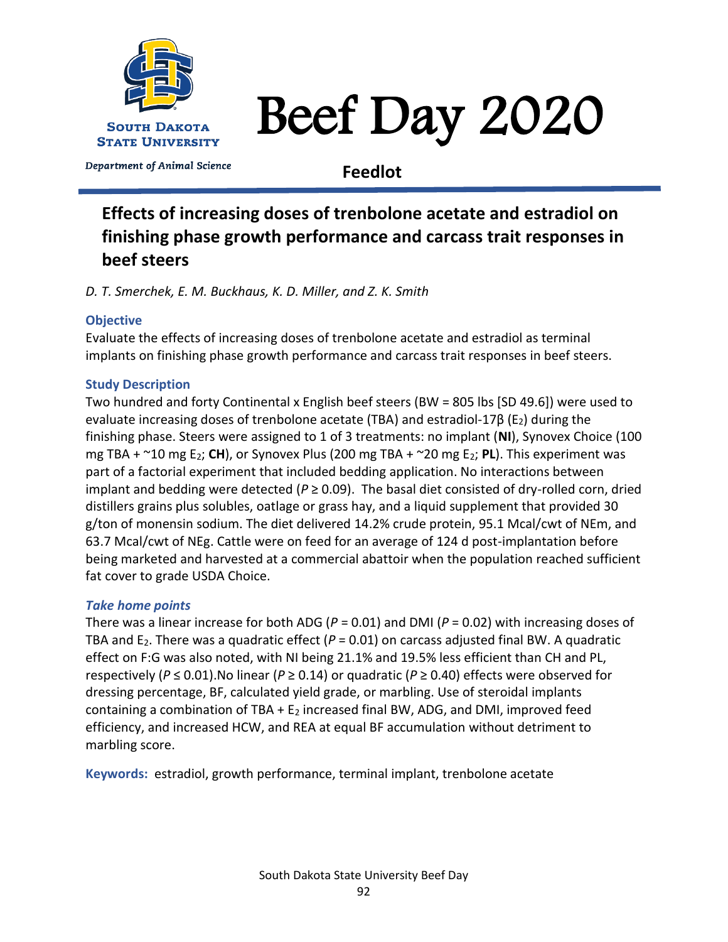

# Beef Day 2020

Department of Animal Science

**Feedlot**

# **Effects of increasing doses of trenbolone acetate and estradiol on finishing phase growth performance and carcass trait responses in beef steers**

*D. T. Smerchek, E. M. Buckhaus, K. D. Miller, and Z. K. Smith*

# **Objective**

Evaluate the effects of increasing doses of trenbolone acetate and estradiol as terminal implants on finishing phase growth performance and carcass trait responses in beef steers.

# **Study Description**

Two hundred and forty Continental x English beef steers (BW = 805 lbs [SD 49.6]) were used to evaluate increasing doses of trenbolone acetate (TBA) and estradiol-17β (E<sub>2</sub>) during the finishing phase. Steers were assigned to 1 of 3 treatments: no implant (**NI**), Synovex Choice (100 mg TBA + ~10 mg E2; **CH**), or Synovex Plus (200 mg TBA + ~20 mg E2; **PL**). This experiment was part of a factorial experiment that included bedding application. No interactions between implant and bedding were detected ( $P \ge 0.09$ ). The basal diet consisted of dry-rolled corn, dried distillers grains plus solubles, oatlage or grass hay, and a liquid supplement that provided 30 g/ton of monensin sodium. The diet delivered 14.2% crude protein, 95.1 Mcal/cwt of NEm, and 63.7 Mcal/cwt of NEg. Cattle were on feed for an average of 124 d post-implantation before being marketed and harvested at a commercial abattoir when the population reached sufficient fat cover to grade USDA Choice.

### *Take home points*

There was a linear increase for both ADG (*P* = 0.01) and DMI (*P* = 0.02) with increasing doses of TBA and  $E_2$ . There was a quadratic effect ( $P = 0.01$ ) on carcass adjusted final BW. A quadratic effect on F:G was also noted, with NI being 21.1% and 19.5% less efficient than CH and PL, respectively (*P* ≤ 0.01).No linear (*P* ≥ 0.14) or quadratic (*P* ≥ 0.40) effects were observed for dressing percentage, BF, calculated yield grade, or marbling. Use of steroidal implants containing a combination of TBA  $+ E_2$  increased final BW, ADG, and DMI, improved feed efficiency, and increased HCW, and REA at equal BF accumulation without detriment to marbling score.

**Keywords:** estradiol, growth performance, terminal implant, trenbolone acetate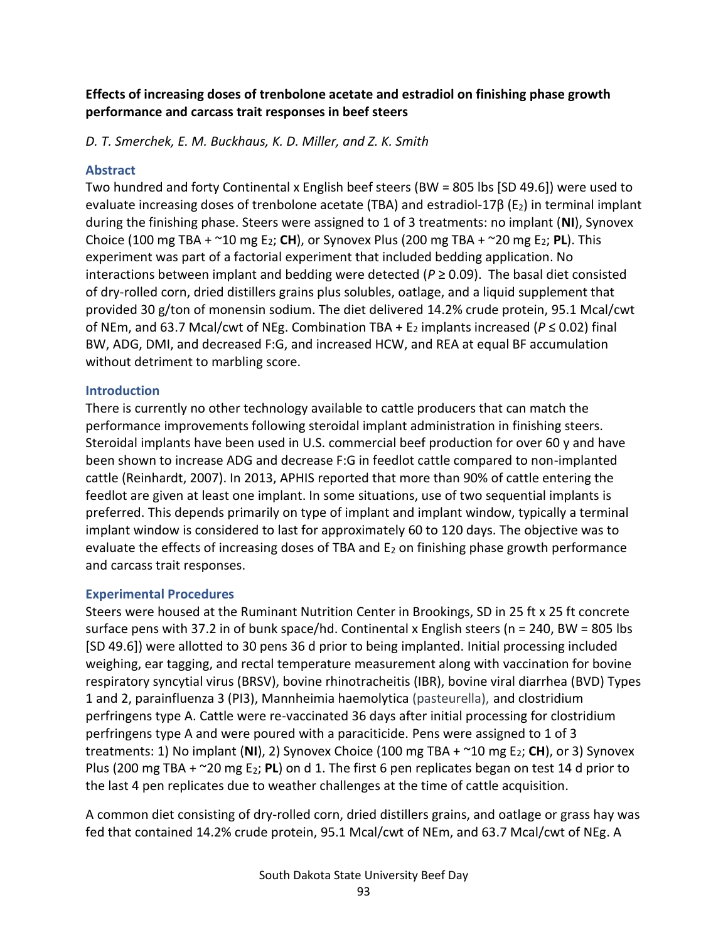# **Effects of increasing doses of trenbolone acetate and estradiol on finishing phase growth performance and carcass trait responses in beef steers**

*D. T. Smerchek, E. M. Buckhaus, K. D. Miller, and Z. K. Smith*

#### **Abstract**

Two hundred and forty Continental x English beef steers (BW = 805 lbs [SD 49.6]) were used to evaluate increasing doses of trenbolone acetate (TBA) and estradiol-17β (E2) in terminal implant during the finishing phase. Steers were assigned to 1 of 3 treatments: no implant (**NI**), Synovex Choice (100 mg TBA + ~10 mg E2; **CH**), or Synovex Plus (200 mg TBA + ~20 mg E2; **PL**). This experiment was part of a factorial experiment that included bedding application. No interactions between implant and bedding were detected ( $P \ge 0.09$ ). The basal diet consisted of dry-rolled corn, dried distillers grains plus solubles, oatlage, and a liquid supplement that provided 30 g/ton of monensin sodium. The diet delivered 14.2% crude protein, 95.1 Mcal/cwt of NEm, and 63.7 Mcal/cwt of NEg. Combination TBA + E<sup>2</sup> implants increased (*P* ≤ 0.02) final BW, ADG, DMI, and decreased F:G, and increased HCW, and REA at equal BF accumulation without detriment to marbling score.

### **Introduction**

There is currently no other technology available to cattle producers that can match the performance improvements following steroidal implant administration in finishing steers. Steroidal implants have been used in U.S. commercial beef production for over 60 y and have been shown to increase ADG and decrease F:G in feedlot cattle compared to non-implanted cattle (Reinhardt, 2007). In 2013, APHIS reported that more than 90% of cattle entering the feedlot are given at least one implant. In some situations, use of two sequential implants is preferred. This depends primarily on type of implant and implant window, typically a terminal implant window is considered to last for approximately 60 to 120 days. The objective was to evaluate the effects of increasing doses of TBA and  $E_2$  on finishing phase growth performance and carcass trait responses.

#### **Experimental Procedures**

Steers were housed at the Ruminant Nutrition Center in Brookings, SD in 25 ft x 25 ft concrete surface pens with 37.2 in of bunk space/hd. Continental x English steers (n = 240, BW = 805 lbs [SD 49.6]) were allotted to 30 pens 36 d prior to being implanted. Initial processing included weighing, ear tagging, and rectal temperature measurement along with vaccination for bovine respiratory syncytial virus (BRSV), bovine rhinotracheitis (IBR), bovine viral diarrhea (BVD) Types 1 and 2, parainfluenza 3 (PI3), Mannheimia haemolytica (pasteurella), and clostridium perfringens type A. Cattle were re-vaccinated 36 days after initial processing for clostridium perfringens type A and were poured with a paraciticide. Pens were assigned to 1 of 3 treatments: 1) No implant (**NI**), 2) Synovex Choice (100 mg TBA + ~10 mg E2; **CH**), or 3) Synovex Plus (200 mg TBA + ~20 mg E2; **PL**) on d 1. The first 6 pen replicates began on test 14 d prior to the last 4 pen replicates due to weather challenges at the time of cattle acquisition.

A common diet consisting of dry-rolled corn, dried distillers grains, and oatlage or grass hay was fed that contained 14.2% crude protein, 95.1 Mcal/cwt of NEm, and 63.7 Mcal/cwt of NEg. A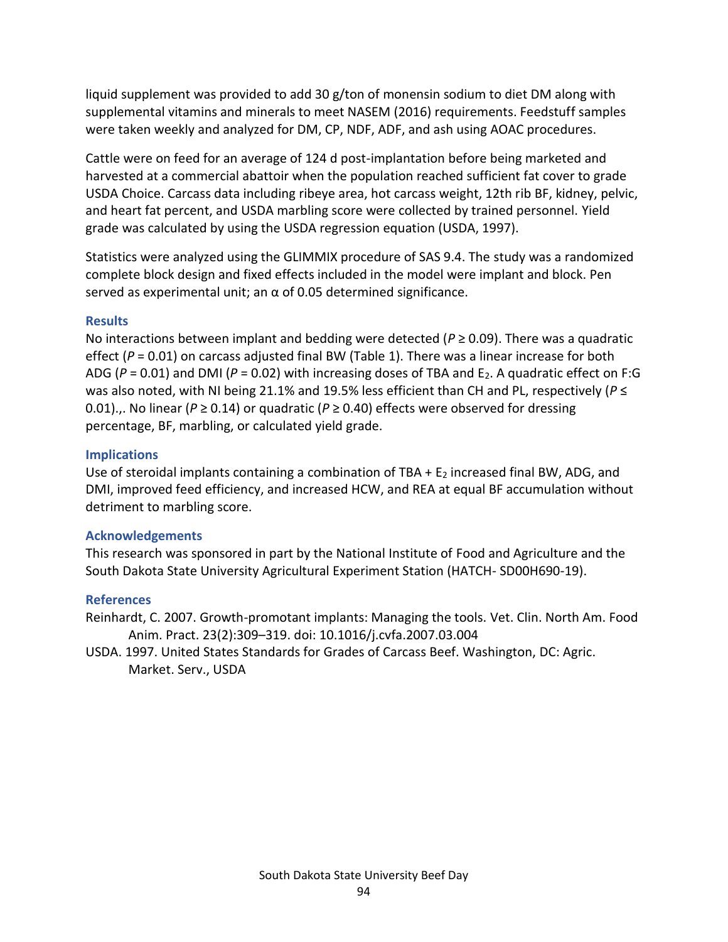liquid supplement was provided to add 30 g/ton of monensin sodium to diet DM along with supplemental vitamins and minerals to meet NASEM (2016) requirements. Feedstuff samples were taken weekly and analyzed for DM, CP, NDF, ADF, and ash using AOAC procedures.

Cattle were on feed for an average of 124 d post-implantation before being marketed and harvested at a commercial abattoir when the population reached sufficient fat cover to grade USDA Choice. Carcass data including ribeye area, hot carcass weight, 12th rib BF, kidney, pelvic, and heart fat percent, and USDA marbling score were collected by trained personnel. Yield grade was calculated by using the USDA regression equation (USDA, 1997).

Statistics were analyzed using the GLIMMIX procedure of SAS 9.4. The study was a randomized complete block design and fixed effects included in the model were implant and block. Pen served as experimental unit; an  $\alpha$  of 0.05 determined significance.

### **Results**

No interactions between implant and bedding were detected (*P* ≥ 0.09). There was a quadratic effect (P = 0.01) on carcass adjusted final BW (Table 1). There was a linear increase for both ADG ( $P = 0.01$ ) and DMI ( $P = 0.02$ ) with increasing doses of TBA and E<sub>2</sub>. A quadratic effect on F:G was also noted, with NI being 21.1% and 19.5% less efficient than CH and PL, respectively (*P* ≤ 0.01)... No linear ( $P \ge 0.14$ ) or quadratic ( $P \ge 0.40$ ) effects were observed for dressing percentage, BF, marbling, or calculated yield grade.

#### **Implications**

Use of steroidal implants containing a combination of TBA +  $E_2$  increased final BW, ADG, and DMI, improved feed efficiency, and increased HCW, and REA at equal BF accumulation without detriment to marbling score.

#### **Acknowledgements**

This research was sponsored in part by the National Institute of Food and Agriculture and the South Dakota State University Agricultural Experiment Station (HATCH- SD00H690-19).

#### **References**

Reinhardt, C. 2007. Growth-promotant implants: Managing the tools. Vet. Clin. North Am. Food Anim. Pract. 23(2):309–319. doi: 10.1016/j.cvfa.2007.03.004

USDA. 1997. United States Standards for Grades of Carcass Beef. Washington, DC: Agric. Market. Serv., USDA